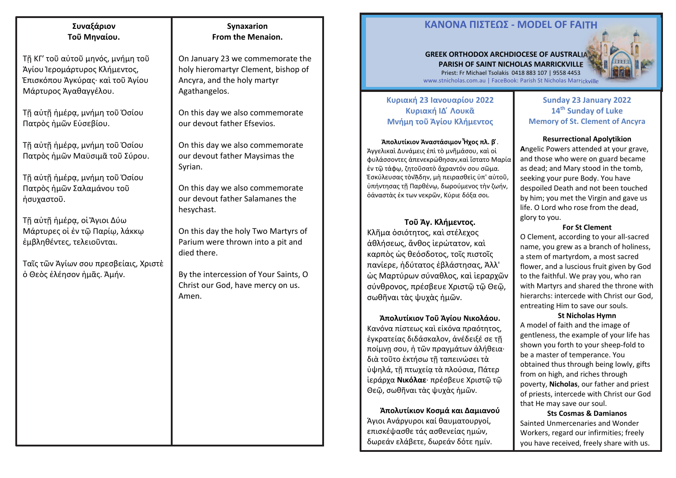# **Συναξάριον Τοῦ Μηναίου.**

Τῇ ΚΓ′ τοῦ αὐτοῦ μηνός, μνήμη τοῦ Ἁγίου Ἱερομάρτυρος Κλήμεντος, Ἐπισκόπου Ἀγκύρας· καὶ τοῦ Ἁγίου Μάρτυρος Ἀγαθαγγέλου.

Τῇ αὐτῇ ἡμέρᾳ, μνήμη τοῦ Ὁσίου Πατρὸς ἡμῶν Εὐσεβίου.

Τῇ αὐτῇ ἡμέρᾳ, μνήμη τοῦ Ὁσίου Πατρὸς ἡμῶν Μαϋσιμᾶ τοῦ Σύρου.

Τῇ αὐτῇ ἡμέρᾳ, μνήμη τοῦ Ὁσίου Πατρὸς ἡμῶν Σαλαμάνου τοῦ ἡσυχαστοῦ.

Τῇ αὐτῇ ἡμέρᾳ, οἱ Ἅγιοι Δύω Μάρτυρες οἱ ἐν τῷ Παρίῳ, λάκκῳ ἐμβληθέντες, τελειοῦνται.

Ταῖς τῶν Ἁγίων σου πρεσβείαις, Χριστὲ ὁ Θεὸς ἐλέησον ἡμᾶς. Ἀμήν.

### **Synaxarion From the Menaion.**

On January 23 we commemorate the holy hieromartyr Clement, bishop of Ancyra, and the holy martyr Agathangelos.

On this day we also commemorate our devout father Efsevios.

On this day we also commemorate our devout father Maysimas the Syrian.

On this day we also commemorate our devout father Salamanes the hesychast.

On this day the holy Two Martyrs of Parium were thrown into a pit and died there.

By the intercession of Your Saints, O Christ our God, have mercy on us. Amen.

4

# **ΚΑΝOΝΑ ΠIΣΤΕΩΣ - MODEL OF FAITH**

#### **GREEK ORTHODOX ARCHDIOCESE OF AUSTRALIA PARISH OF SAINT NICHOLAS MARRICKVILLE**  Priest: Fr Michael Tsolakis 0418 883 107 | 9558 4453



www.stnicholas.com.au | FaceBook: Parish St Nicholas Marrickville

### **Κυριακή 23 Ιανουαρίου 2022 Κυριακή ΙΔ ໄ Λουκᾶ Μνήμη τοῦ Ἁγίου Κλήμεντος**

**Ἀπολυτίκιον Ἀναστάσιμον Ἦχος πλ. β ໄ**. Ἀγγελικαὶ Δυνάμεις ἐπὶ τὸ μνῆμάσου, καὶ οἱ φυλάσσοντες ἀπενεκρώθησαν,καὶ ἵστατο Μαρία ἐν τῷ τάφῳ, ζητοῦσατὸ ἄχραντόν σου σῶμα. Ἐσκύλευσας τὸνᾍδην, μὴ πειρασθεὶς ὑπ' αὐτοῦ, ὑπήντησας τῇ Παρθένῳ, δωρούμενος τὴν ζωήν, ὁἀναστὰς ἐκ των νεκρῶν, Κύριε δόξα σοι.

**Τοῦ Ἁγ. Κλήμεντος.**  Κλῆμα ὁσιότητος, καὶ στέλεχος ἀθλήσεως, ἄνθος ἱερώτατον, καὶ καρπὸς ὡς θεόσδοτος, τοῖς πιστοῖς πανίερε, ἡδύτατος ἐβλάστησας, Ἀλλ' ὡς Μαρτύρων σύναθλος, καὶ ἱεραρχῶν σύνθρονος, πρέσβευε Χριστῷ τῷ Θεῷ, σωθῆναι τὰς ψυχὰς ἡμῶν.

**Ἀπολυτίκιον Τοῦ Ἁγίου Νικολάου.**  Κανόνα πίστεως καὶ εἰκόνα πραότητος, ἐγκρατείας διδάσκαλον, ἀνέδειξέ σε τῇ ποίμνῃ σου, ἡ τῶν πραγμάτων ἀλήθεια· διὰ τοῦτο ἐκτήσω τῇ ταπεινώσει τὰ ὑψηλά, τῇ πτωχείᾳ τὰ πλούσια, Πάτερ ἱεράρχα **Νικόλαε**· πρέσβευε Χριστῷ τῷ Θεῷ, σωθῆναι τὰς ψυχὰς ἡμῶν.

**Ἀπολυτίκιον Κοσμά και Δαμιανού**  Άγιοι Ανάργυροι καί θαυματουργοί, επισκέψασθε τάς ασθενείας ημών, δωρεάν ελάβετε, δωρεάν δότε ημίν.

### **Sunday 23 January 2022 <sup>14</sup>th Sunday of Luke Memory of St. Clement of Ancyra**

#### **Resurrectional Apolytikion**

**A**ngelic Powers attended at your grave, and those who were on guard became as dead; and Mary stood in the tomb, seeking your pure Body. You have despoiled Death and not been touched by him; you met the Virgin and gave us life. O Lord who rose from the dead, glory to you.

#### **For St Clement**

O Clement, according to your all-sacred name, you grew as a branch of holiness, a stem of martyrdom, a most sacred flower, and a luscious fruit given by God to the faithful. We pray you, who ran with Martyrs and shared the throne with hierarchs: intercede with Christ our God, entreating Him to save our souls.

#### **St Nicholas Hymn**

A model of faith and the image of gentleness, the example of your life has shown you forth to your sheep-fold to be a master of temperance. You obtained thus through being lowly, gifts from on high, and riches through poverty, **Nicholas**, our father and priest of priests, intercede with Christ our God that He may save our soul.

**Sts Cosmas & Damianos**  Sainted Unmercenaries and Wonder Workers, regard our infirmities; freely you have received, freely share with us.

1